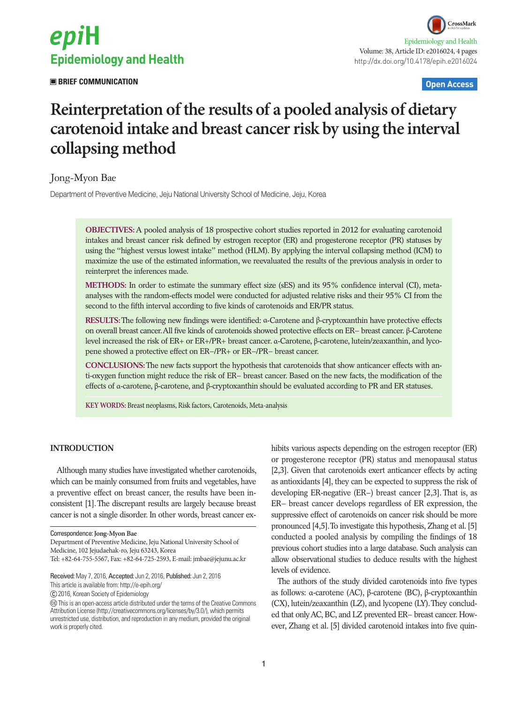

 **BRIEF COMMUNICATION Open Access**

# **Reinterpretation of the results of a pooled analysis of dietary carotenoid intake and breast cancer risk by using the interval collapsing method**

# Jong-Myon Bae

Department of Preventive Medicine, Jeju National University School of Medicine, Jeju, Korea

**OBJECTIVES:** A pooled analysis of 18 prospective cohort studies reported in 2012 for evaluating carotenoid intakes and breast cancer risk defined by estrogen receptor (ER) and progesterone receptor (PR) statuses by using the "highest versus lowest intake" method (HLM). By applying the interval collapsing method (ICM) to maximize the use of the estimated information, we reevaluated the results of the previous analysis in order to reinterpret the inferences made.

**METHODS:** In order to estimate the summary effect size (sES) and its 95% confidence interval (CI), metaanalyses with the random-effects model were conducted for adjusted relative risks and their 95% CI from the second to the fifth interval according to five kinds of carotenoids and ER/PR status.

**RESULTS:** The following new findings were identified: α-Carotene and β-cryptoxanthin have protective effects on overall breast cancer. All five kinds of carotenoids showed protective effects on ER− breast cancer. β-Carotene level increased the risk of ER+ or ER+/PR+ breast cancer. α-Carotene, β-carotene, lutein/zeaxanthin, and lycopene showed a protective effect on ER−/PR+ or ER−/PR− breast cancer.

**CONCLUSIONS:** The new facts support the hypothesis that carotenoids that show anticancer effects with anti-oxygen function might reduce the risk of ER− breast cancer. Based on the new facts, the modification of the effects of α-carotene, β-carotene, and β-cryptoxanthin should be evaluated according to PR and ER statuses.

**KEY WORDS:** Breast neoplasms, Risk factors, Carotenoids, Meta-analysis

## **INTRODUCTION**

Although many studies have investigated whether carotenoids, which can be mainly consumed from fruits and vegetables, have a preventive effect on breast cancer, the results have been inconsistent [1]. The discrepant results are largely because breast cancer is not a single disorder. In other words, breast cancer ex-

This article is available from: http://e-epih.org/

2016, Korean Society of Epidemiology

hibits various aspects depending on the estrogen receptor (ER) or progesterone receptor (PR) status and menopausal status [2,3]. Given that carotenoids exert anticancer effects by acting as antioxidants [4], they can be expected to suppress the risk of developing ER-negative (ER−) breast cancer [2,3]. That is, as ER− breast cancer develops regardless of ER expression, the suppressive effect of carotenoids on cancer risk should be more pronounced [4,5]. To investigate this hypothesis, Zhang et al. [5] conducted a pooled analysis by compiling the findings of 18 previous cohort studies into a large database. Such analysis can allow observational studies to deduce results with the highest levels of evidence.

The authors of the study divided carotenoids into five types as follows: α-carotene (AC), β-carotene (BC), β-cryptoxanthin (CX), lutein/zeaxanthin (LZ), and lycopene (LY). They concluded that only AC, BC, and LZ prevented ER− breast cancer. However, Zhang et al. [5] divided carotenoid intakes into five quin-

Correspondence: **Jong-Myon Bae**

Department of Preventive Medicine, Jeju National University School of Medicine, 102 Jejudaehak-ro, Jeju 63243, Korea

Tel: +82-64-755-5567, Fax: +82-64-725-2593, E-mail: jmbae@jejunu.ac.kr

Received: May 7, 2016, Accepted: Jun 2, 2016, Published: Jun 2, 2016

This is an open-access article distributed under the terms of the Creative Commons Attribution License (http://creativecommons.org/licenses/by/3.0/), which permits unrestricted use, distribution, and reproduction in any medium, provided the original work is properly cited.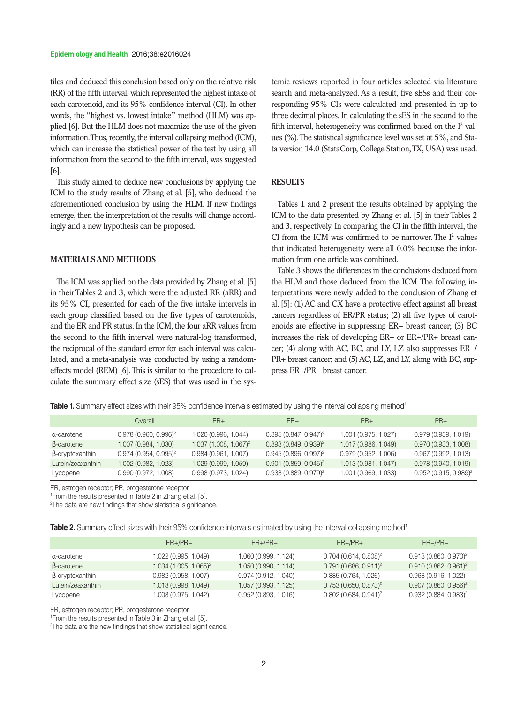tiles and deduced this conclusion based only on the relative risk (RR) of the fifth interval, which represented the highest intake of each carotenoid, and its 95% confidence interval (CI). In other words, the "highest vs. lowest intake" method (HLM) was applied [6]. But the HLM does not maximize the use of the given information. Thus, recently, the interval collapsing method (ICM), which can increase the statistical power of the test by using all information from the second to the fifth interval, was suggested [6].

This study aimed to deduce new conclusions by applying the ICM to the study results of Zhang et al. [5], who deduced the aforementioned conclusion by using the HLM. If new findings emerge, then the interpretation of the results will change accordingly and a new hypothesis can be proposed.

# **MATERIALS AND METHODS**

The ICM was applied on the data provided by Zhang et al. [5] in their Tables 2 and 3, which were the adjusted RR (aRR) and its 95% CI, presented for each of the five intake intervals in each group classified based on the five types of carotenoids, and the ER and PR status. In the ICM, the four aRR values from the second to the fifth interval were natural-log transformed, the reciprocal of the standard error for each interval was calculated, and a meta-analysis was conducted by using a randomeffects model (REM) [6]. This is similar to the procedure to calculate the summary effect size (sES) that was used in the systemic reviews reported in four articles selected via literature search and meta-analyzed. As a result, five sESs and their corresponding 95% CIs were calculated and presented in up to three decimal places. In calculating the sES in the second to the fifth interval, heterogeneity was confirmed based on the  $I<sup>2</sup>$  values (%). The statistical significance level was set at 5%, and Stata version 14.0 (StataCorp, College Station, TX, USA) was used.

# **RESULTS**

Tables 1 and 2 present the results obtained by applying the ICM to the data presented by Zhang et al. [5] in their Tables 2 and 3, respectively. In comparing the CI in the fifth interval, the CI from the ICM was confirmed to be narrower. The  $I^2$  values that indicated heterogeneity were all 0.0% because the information from one article was combined.

Table 3 shows the differences in the conclusions deduced from the HLM and those deduced from the ICM. The following interpretations were newly added to the conclusion of Zhang et al. [5]: (1) AC and CX have a protective effect against all breast cancers regardless of ER/PR status; (2) all five types of carotenoids are effective in suppressing ER− breast cancer; (3) BC increases the risk of developing ER+ or ER+/PR+ breast cancer; (4) along with AC, BC, and LY, LZ also suppresses ER−/ PR+ breast cancer; and (5) AC, LZ, and LY, along with BC, suppress ER−/PR− breast cancer.

**Table 1.** Summary effect sizes with their 95% confidence intervals estimated by using the interval collapsing method<sup>1</sup>

|                        | Overall                 | $ER+$                     | $ER-$                   | $PR+$                | $PR-$                   |
|------------------------|-------------------------|---------------------------|-------------------------|----------------------|-------------------------|
| a-carotene             | $0.978(0.960, 0.996)^2$ | 1.020 (0.996, 1.044)      | $0.895(0.847, 0.947)^2$ | 1.001 (0.975, 1.027) | 0.979(0.939, 1.019)     |
| $\beta$ -carotene      | 1.007 (0.984, 1.030)    | $1.037(1.008, 1.067)^{2}$ | $0.893(0.849, 0.939)^2$ | 1.017 (0.986, 1.049) | 0.970(0.933, 1.008)     |
| <b>B-cryptoxanthin</b> | $0.974(0.954, 0.995)^2$ | 0.984(0.961, 1.007)       | $0.945(0.896, 0.997)^2$ | 0.979(0.952, 1.006)  | 0.967(0.992, 1.013)     |
| Lutein/zeaxanthin      | 1.002 (0.982, 1.023)    | 1.029 (0.999, 1.059)      | $0.901(0.859, 0.945)^2$ | 1.013 (0.981, 1.047) | 0.978(0.940, 1.019)     |
| Lycopene               | 0.990(0.972, 1.008)     | 0.998(0.973, 1.024)       | $0.933(0.889, 0.979)^2$ | 1.001 (0.969, 1.033) | $0.952(0.915, 0.989)^2$ |

ER, estrogen receptor; PR, progesterone receptor.

1 From the results presented in Table 2 in Zhang et al. [5].

<sup>2</sup>The data are new findings that show statistical significance.

Table 2. Summary effect sizes with their 95% confidence intervals estimated by using the interval collapsing method<sup>1</sup>

|                        | $ER+/PR+$               | $ER+/PR-$            | $ER-/PR+$                           | $ER-/PR-$                           |
|------------------------|-------------------------|----------------------|-------------------------------------|-------------------------------------|
| a-carotene             | 1.022 (0.995, 1.049)    | 1.060 (0.999, 1.124) | $0.704$ (0.614, 0.808) <sup>2</sup> | $0.913(0.860, 0.970)^2$             |
| $\beta$ -carotene      | $1.034(1.005, 1.065)^2$ | 1.050 (0.990, 1.114) | $0.791(0.686, 0.911)^2$             | $0.910(0.862, 0.961)^2$             |
| $\beta$ -cryptoxanthin | 0.982(0.958, 1.007)     | 0.974(0.912, 1.040)  | 0.885(0.764, 1.026)                 | 0.968(0.916, 1.022)                 |
| Lutein/zeaxanthin      | 1.018 (0.998, 1.049)    | 1.057 (0.993, 1.125) | $0.753(0.650, 0.873)^2$             | $0.907$ (0.860, 0.956) <sup>2</sup> |
| Lycopene               | 1.008 (0.975, 1.042)    | 0.952(0.893, 1.016)  | $0.802$ (0.684, 0.941) <sup>2</sup> | $0.932(0.884, 0.983)^2$             |

ER, estrogen receptor; PR, progesterone receptor.

1 From the results presented in Table 3 in Zhang et al. [5].

2 The data are the new findings that show statistical significance.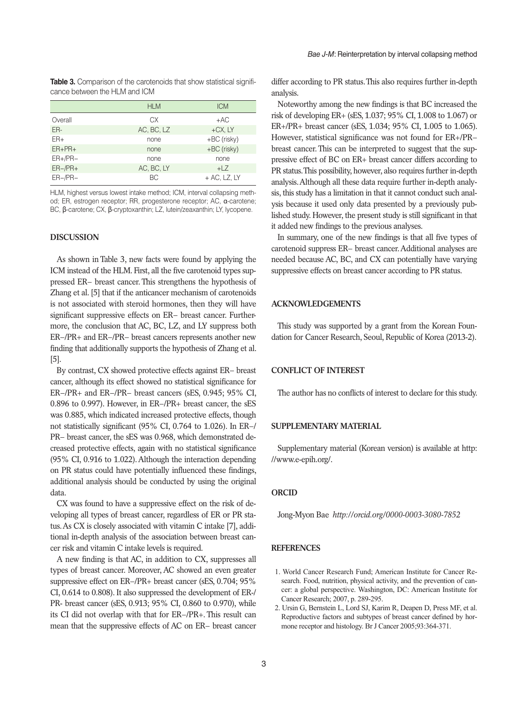**Table 3.** Comparison of the carotenoids that show statistical significance between the HLM and ICM

|             | <b>HLM</b> | <b>ICM</b>      |
|-------------|------------|-----------------|
| Overall     | СX         | $+AC$           |
| ER-         | AC, BC, LZ | $+CX, LY$       |
| $ER+$       | none       | +BC (risky)     |
| $ER + PR +$ | none       | +BC (risky)     |
| $ER+/PR-$   | none       | none            |
| $ER-/PR+$   | AC, BC, LY | $+17$           |
| $ER-/PR-$   | BC         | $+ AC$ , LZ, LY |

HLM, highest versus lowest intake method; ICM, interval collapsing method; ER, estrogen receptor; RR, progesterone receptor; AC, α-carotene; BC, β-carotene; CX, β-cryptoxanthin; LZ, lutein/zeaxanthin; LY, lycopene.

#### **DISCUSSION**

As shown in Table 3, new facts were found by applying the ICM instead of the HLM. First, all the five carotenoid types suppressed ER− breast cancer. This strengthens the hypothesis of Zhang et al. [5] that if the anticancer mechanism of carotenoids is not associated with steroid hormones, then they will have significant suppressive effects on ER− breast cancer. Furthermore, the conclusion that AC, BC, LZ, and LY suppress both ER−/PR+ and ER−/PR− breast cancers represents another new finding that additionally supports the hypothesis of Zhang et al. [5].

By contrast, CX showed protective effects against ER− breast cancer, although its effect showed no statistical significance for ER−/PR+ and ER−/PR− breast cancers (sES, 0.945; 95% CI, 0.896 to 0.997). However, in ER−/PR+ breast cancer, the sES was 0.885, which indicated increased protective effects, though not statistically significant (95% CI, 0.764 to 1.026). In ER−/ PR− breast cancer, the sES was 0.968, which demonstrated decreased protective effects, again with no statistical significance (95% CI, 0.916 to 1.022). Although the interaction depending on PR status could have potentially influenced these findings, additional analysis should be conducted by using the original data.

CX was found to have a suppressive effect on the risk of developing all types of breast cancer, regardless of ER or PR status. As CX is closely associated with vitamin C intake [7], additional in-depth analysis of the association between breast cancer risk and vitamin C intake levels is required.

A new finding is that AC, in addition to CX, suppresses all types of breast cancer. Moreover, AC showed an even greater suppressive effect on ER−/PR+ breast cancer (sES, 0.704; 95% CI, 0.614 to 0.808). It also suppressed the development of ER-/ PR- breast cancer (sES, 0.913; 95% CI, 0.860 to 0.970), while its CI did not overlap with that for ER−/PR+. This result can mean that the suppressive effects of AC on ER− breast cancer

differ according to PR status. This also requires further in-depth analysis.

Noteworthy among the new findings is that BC increased the risk of developing ER+ (sES, 1.037; 95% CI, 1.008 to 1.067) or ER+/PR+ breast cancer (sES, 1.034; 95% CI, 1.005 to 1.065). However, statistical significance was not found for ER+/PR− breast cancer. This can be interpreted to suggest that the suppressive effect of BC on ER+ breast cancer differs according to PR status. This possibility, however, also requires further in-depth analysis. Although all these data require further in-depth analysis, this study has a limitation in that it cannot conduct such analysis because it used only data presented by a previously published study. However, the present study is still significant in that it added new findings to the previous analyses.

In summary, one of the new findings is that all five types of carotenoid suppress ER− breast cancer. Additional analyses are needed because AC, BC, and CX can potentially have varying suppressive effects on breast cancer according to PR status.

#### **ACKNOWLEDGEMENTS**

This study was supported by a grant from the Korean Foundation for Cancer Research, Seoul, Republic of Korea (2013-2).

#### **CONFLICT OF INTEREST**

The author has no conflicts of interest to declare for this study.

#### **SUPPLEMENTARY MATERIAL**

Supplementary material (Korean version) is available at http: //www.e-epih.org/.

#### **ORCID**

Jong-Myon Bae *http://orcid.org/0000-0003-3080-7852*

#### **REFERENCES**

- 1. World Cancer Research Fund; American Institute for Cancer Research. Food, nutrition, physical activity, and the prevention of cancer: a global perspective. Washington, DC: American Institute for Cancer Research; 2007, p. 289-295.
- 2. Ursin G, Bernstein L, Lord SJ, Karim R, Deapen D, Press MF, et al. Reproductive factors and subtypes of breast cancer defined by hormone receptor and histology. Br J Cancer 2005;93:364-371.